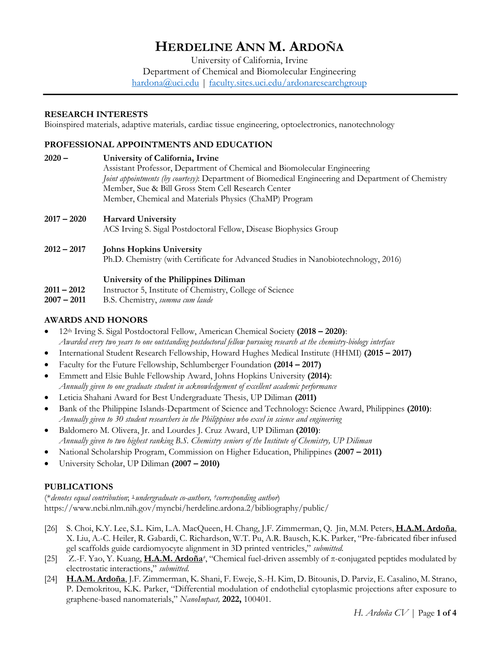# **HERDELINE ANN M. ARDOÑA**

University of California, Irvine Department of Chemical and Biomolecular Engineering hardona@uci.edu | faculty.sites.uci.edu/ardonaresearchgroup

## **RESEARCH INTERESTS**

Bioinspired materials, adaptive materials, cardiac tissue engineering, optoelectronics, nanotechnology

## **PROFESSIONAL APPOINTMENTS AND EDUCATION**

- **2020 – University of California, Irvine** Assistant Professor, Department of Chemical and Biomolecular Engineering *Joint appointments (by courtesy)*: Department of Biomedical Engineering and Department of Chemistry Member, Sue & Bill Gross Stem Cell Research Center Member, Chemical and Materials Physics (ChaMP) Program
- **2017 – 2020 Harvard University** ACS Irving S. Sigal Postdoctoral Fellow, Disease Biophysics Group

# **2012 – 2017 Johns Hopkins University**

Ph.D. Chemistry (with Certificate for Advanced Studies in Nanobiotechnology, 2016)

### **University of the Philippines Diliman**

- **2011 – 2012** Instructor 5, Institute of Chemistry, College of Science
- **2007 – 2011** B.S. Chemistry, *summa cum laude*

# **AWARDS AND HONORS**

- 12th Irving S. Sigal Postdoctoral Fellow, American Chemical Society **(2018 – 2020)**: *Awarded every two years to one outstanding postdoctoral fellow pursuing research at the chemistry-biology interface*
- International Student Research Fellowship, Howard Hughes Medical Institute (HHMI) **(2015 – 2017)**
- Faculty for the Future Fellowship, Schlumberger Foundation **(2014 – 2017)**
- Emmett and Elsie Buhle Fellowship Award, Johns Hopkins University **(2014)**: *Annually given to one graduate student in acknowledgement of excellent academic performance*
- Leticia Shahani Award for Best Undergraduate Thesis, UP Diliman **(2011)**
- Bank of the Philippine Islands-Department of Science and Technology: Science Award, Philippines **(2010)**: *Annually given to 30 student researchers in the Philippines who excel in science and engineering*
- Baldomero M. Olivera, Jr. and Lourdes J. Cruz Award, UP Diliman **(2010)**: *Annually given to two highest ranking B.S. Chemistry seniors of the Institute of Chemistry, UP Diliman*
- National Scholarship Program, Commission on Higher Education, Philippines **(2007 – 2011)**
- University Scholar, UP Diliman **(2007 – 2010)**

# **PUBLICATIONS**

(\**denotes equal contribution*; ⊥*undergraduate co-authors, †corresponding author*) https://www.ncbi.nlm.nih.gov/myncbi/herdeline.ardona.2/bibliography/public/

- [26] S. Choi, K.Y. Lee, S.L. Kim, L.A. MacQueen, H. Chang, J.F. Zimmerman, Q. Jin, M.M. Peters, **H.A.M. Ardoña**, X. Liu, A.-C. Heiler, R. Gabardi, C. Richardson, W.T. Pu, A.R. Bausch, K.K. Parker, "Pre-fabricated fiber infused gel scaffolds guide cardiomyocyte alignment in 3D printed ventricles," *submitted.*
- [25] Z.-F. Yao, Y. Kuang, **H.A.M. Ardoña***†*, "Chemical fuel-driven assembly of π-conjugated peptides modulated by electrostatic interactions," *submitted.*
- [24] **H.A.M. Ardoña**, J.F. Zimmerman, K. Shani, F. Eweje, S.-H. Kim, D. Bitounis, D. Parviz, E. Casalino, M. Strano, P. Demokritou, K.K. Parker, "Differential modulation of endothelial cytoplasmic projections after exposure to graphene-based nanomaterials," *NanoImpact,* **2022,** 100401.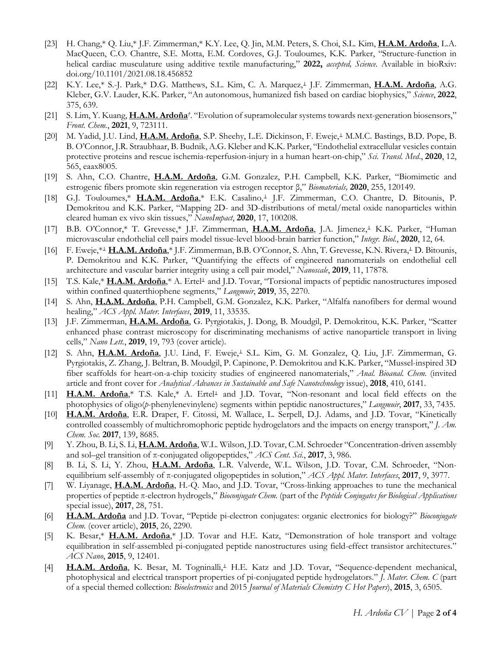- [23] H. Chang,\* Q. Liu,\* J.F. Zimmerman,\* K.Y. Lee, Q. Jin, M.M. Peters, S. Choi, S.L. Kim, **H.A.M. Ardoña**, L.A. MacQueen, C.O. Chantre, S.E. Motta, E.M. Cordoves, G.J. Touloumes, K.K. Parker, "Structure-function in helical cardiac musculature using additive textile manufacturing," **2022,** *accepted, Science*. Available in bioRxiv: doi.org/10.1101/2021.08.18.456852
- [22] K.Y. Lee,\* S.-J. Park,\* D.G. Matthews, S.L. Kim, C. A. Marquez,<sup>⊥</sup> J.F. Zimmerman, **H.A.M. Ardoña**, A.G. Kleber, G.V. Lauder, K.K. Parker, "An autonomous, humanized fish based on cardiac biophysics," *Science*, **2022**, 375, 639.
- [21] S. Lim, Y. Kuang, **H.A.M. Ardoña***†*. "Evolution of supramolecular systems towards next-generation biosensors," *Front. Chem.*, **2021**, 9, 723111.
- [20] M. Yadid, J.U. Lind, **H.A.M. Ardoña**, S.P. Sheehy, L.E. Dickinson, F. Eweje,<sup>⊥</sup> M.M.C. Bastings, B.D. Pope, B. B. O'Connor, J.R. Straubhaar, B. Budnik, A.G. Kleber and K.K. Parker, "Endothelial extracellular vesicles contain protective proteins and rescue ischemia-reperfusion-injury in a human heart-on-chip," *Sci. Transl. Med*., **2020**, 12, 565, eaax8005*.*
- [19] S. Ahn, C.O. Chantre, **H.A.M. Ardoña**, G.M. Gonzalez, P.H. Campbell, K.K. Parker, "Biomimetic and estrogenic fibers promote skin regeneration via estrogen receptor β," *Biomaterials,* **2020**, 255, 120149.
- [18] G.J. Touloumes,\* H.A.M. Ardoña,\* E.K. Casalino,<sup>⊥</sup> J.F. Zimmerman, C.O. Chantre, D. Bitounis, P. Demokritou and K.K. Parker, "Mapping 2D- and 3D-distributions of metal/metal oxide nanoparticles within cleared human ex vivo skin tissues," *NanoImpact*, **2020**, 17, 100208.
- [17] B.B. O'Connor,\* T. Grevesse,\* J.F. Zimmerman, **H.A.M. Ardoña**, J.A. Jimenez,<sup>⊥</sup> K.K. Parker, "Human microvascular endothelial cell pairs model tissue-level blood-brain barrier function," *Integr. Biol.*, **2020**, 12, 64*.*
- [16] F. Eweje,\*<sup>⊥</sup> **H.A.M. Ardoña**,\* J.F. Zimmerman, B.B. O'Connor, S. Ahn, T. Grevesse, K.N. Rivera,<sup>⊥</sup> D. Bitounis, P. Demokritou and K.K. Parker, "Quantifying the effects of engineered nanomaterials on endothelial cell architecture and vascular barrier integrity using a cell pair model," *Nanoscale*, **2019**, 11, 17878*.*
- [15] T.S. Kale,\* **H.A.M. Ardoña**,\* A. Ertel<sup>⊥</sup> and J.D. Tovar, "Torsional impacts of peptidic nanostructures imposed within confined quaterthiophene segments," *Langmuir*, **2019**, 35, 2270.
- [14] S. Ahn, **H.A.M. Ardoña**, P.H. Campbell, G.M. Gonzalez, K.K. Parker, "Alfalfa nanofibers for dermal wound healing," *ACS Appl. Mater. Interfaces*, **2019**, 11, 33535.
- [13] J.F. Zimmerman, **H.A.M. Ardoña**, G. Pyrgiotakis, J. Dong, B. Moudgil, P. Demokritou, K.K. Parker, "Scatter enhanced phase contrast microscopy for discriminating mechanisms of active nanoparticle transport in living cells," *Nano Lett.*, **2019**, 19, 793 (cover article).
- [12] S. Ahn, H.A.M. Ardoña, J.U. Lind, F. Eweje,<sup>⊥</sup> S.L. Kim, G. M. Gonzalez, Q. Liu, J.F. Zimmerman, G. Pyrgiotakis, Z. Zhang, J. Beltran, B. Moudgil, P. Capinone, P. Demokritou and K.K. Parker, "Mussel-inspired 3D fiber scaffolds for heart-on-a-chip toxicity studies of engineered nanomaterials," *Anal. Bioanal. Chem.* (invited article and front cover for *Analytical Advances in Sustainable and Safe Nanotechnology* issue), **2018**, 410, 6141.
- [11] **H.A.M. Ardoña**,\* T.S. Kale,\* A. Ertel<sup>⊥</sup> and J.D. Tovar, "Non-resonant and local field effects on the photophysics of oligo(*p*-phenylenevinylene) segments within peptidic nanostructures," *Langmuir*, **2017**, 33, 7435.
- [10] **H.A.M. Ardoña**, E.R. Draper, F. Citossi, M. Wallace, L. Serpell, D.J. Adams, and J.D. Tovar, "Kinetically controlled coassembly of multichromophoric peptide hydrogelators and the impacts on energy transport," *J. Am. Chem. Soc.* **2017**, 139, 8685.
- [9] Y. Zhou, B. Li, S. Li, **H.A.M. Ardoña**, W.L. Wilson, J.D. Tovar, C.M. Schroeder "Concentration-driven assembly and sol–gel transition of π-conjugated oligopeptides," *ACS Cent. Sci.*, **2017**, 3, 986.
- [8] B. Li, S. Li, Y. Zhou, **H.A.M. Ardoña**, L.R. Valverde, W.L. Wilson, J.D. Tovar, C.M. Schroeder, "Nonequilibrium self-assembly of π-conjugated oligopeptides in solution," *ACS Appl. Mater. Interfaces*, **2017**, 9, 3977.
- [7] W. Liyanage, **H.A.M. Ardoña**, H.-Q. Mao, and J.D. Tovar, "Cross-linking approaches to tune the mechanical properties of peptide π-electron hydrogels," *Bioconjugate Chem.* (part of the *Peptide Conjugates for Biological Applications* special issue), **2017**, 28, 751.
- [6] **H.A.M. Ardoña** and J.D. Tovar, "Peptide pi-electron conjugates: organic electronics for biology?" *Bioconjugate Chem.* (cover article), **2015**, 26, 2290.
- [5] K. Besar,\* **H.A.M. Ardoña**,\* J.D. Tovar and H.E. Katz, "Demonstration of hole transport and voltage equilibration in self-assembled pi-conjugated peptide nanostructures using field-effect transistor architectures." *ACS Nano*, **2015**, 9, 12401.
- [4] **H.A.M. Ardoña**, K. Besar, M. Togninalli,<sup>⊥</sup> H.E. Katz and J.D. Tovar, "Sequence-dependent mechanical, photophysical and electrical transport properties of pi-conjugated peptide hydrogelators." *J. Mater. Chem. C* (part of a special themed collection: *Bioelectronics* and 2015 *Journal of Materials Chemistry C Hot Papers*), **2015**, 3, 6505.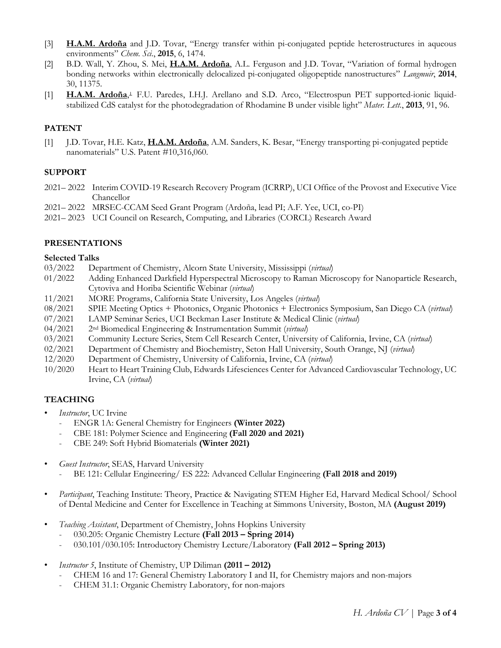- [3] **H.A.M. Ardoña** and J.D. Tovar, "Energy transfer within pi-conjugated peptide heterostructures in aqueous environments" *Chem. Sci*., **2015**, 6, 1474.
- [2] B.D. Wall, Y. Zhou, S. Mei, **H.A.M. Ardoña**, A.L. Ferguson and J.D. Tovar, "Variation of formal hydrogen bonding networks within electronically delocalized pi-conjugated oligopeptide nanostructures" *Langmuir*, **2014**, 30, 11375.
- [1] **H.A.M. Ardoña**,<sup>⊥</sup> F.U. Paredes, I.H.J. Arellano and S.D. Arco, "Electrospun PET supported-ionic liquidstabilized CdS catalyst for the photodegradation of Rhodamine B under visible light" *Mater. Lett.*, **2013**, 91, 96.

# **PATENT**

[1] J.D. Tovar, H.E. Katz, **H.A.M. Ardoña**, A.M. Sanders, K. Besar, "Energy transporting pi-conjugated peptide nanomaterials" U.S. Patent #10,316,060.

## **SUPPORT**

- 2021– 2022 Interim COVID-19 Research Recovery Program (ICRRP), UCI Office of the Provost and Executive Vice Chancellor
- 2021– 2022 MRSEC-CCAM Seed Grant Program (Ardoña, lead PI; A.F. Yee, UCI, co-PI)
- 2021– 2023 UCI Council on Research, Computing, and Libraries (CORCL) Research Award

# **PRESENTATIONS**

### **Selected Talks**

- 03/2022 Department of Chemistry, Alcorn State University, Mississippi (*virtual*)
- 01/2022 Adding Enhanced Darkfield Hyperspectral Microscopy to Raman Microscopy for Nanoparticle Research, Cytoviva and Horiba Scientific Webinar (*virtual*)
- 11/2021 MORE Programs, California State University, Los Angeles (*virtual*)
- 08/2021 SPIE Meeting Optics + Photonics, Organic Photonics + Electronics Symposium, San Diego CA (*virtual*)
- 07/2021 LAMP Seminar Series, UCI Beckman Laser Institute & Medical Clinic (*virtual*)
- 04/2021 2nd Biomedical Engineering & Instrumentation Summit (*virtual*)
- 03/2021 Community Lecture Series, Stem Cell Research Center, University of California, Irvine, CA (*virtual*)
- 02/2021 Department of Chemistry and Biochemistry, Seton Hall University, South Orange, NJ (*virtual*)
- 12/2020 Department of Chemistry, University of California, Irvine, CA (*virtual*)
- 10/2020 Heart to Heart Training Club, Edwards Lifesciences Center for Advanced Cardiovascular Technology, UC Irvine, CA (*virtual*)

### **TEACHING**

- *Instructor*, UC Irvine
	- ENGR 1A: General Chemistry for Engineers **(Winter 2022)**
	- CBE 181: Polymer Science and Engineering **(Fall 2020 and 2021)**
	- CBE 249: Soft Hybrid Biomaterials **(Winter 2021)**
- *Guest Instructor*, SEAS, Harvard University
	- BE 121: Cellular Engineering/ ES 222: Advanced Cellular Engineering **(Fall 2018 and 2019)**
- *Participant*, Teaching Institute: Theory, Practice & Navigating STEM Higher Ed, Harvard Medical School/ School of Dental Medicine and Center for Excellence in Teaching at Simmons University, Boston, MA **(August 2019)**
- *Teaching Assistant*, Department of Chemistry, Johns Hopkins University
	- 030.205: Organic Chemistry Lecture **(Fall 2013 – Spring 2014)**
	- 030.101/030.105: Introductory Chemistry Lecture/Laboratory **(Fall 2012 – Spring 2013)**
- *Instructor 5*, Institute of Chemistry, UP Diliman **(2011 – 2012)**
	- CHEM 16 and 17: General Chemistry Laboratory I and II, for Chemistry majors and non-majors
	- CHEM 31.1: Organic Chemistry Laboratory, for non-majors